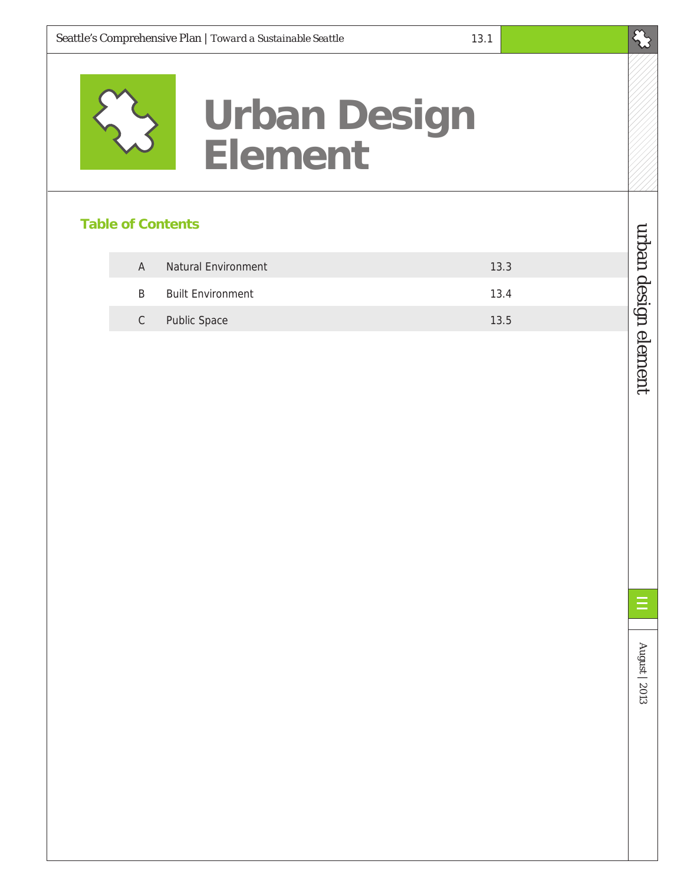

# **Urban Design Element**

### **Table of Contents**

| A  | Natural Environment      | 13.3 |
|----|--------------------------|------|
| R  | <b>Built Environment</b> | 13.4 |
| C. | <b>Public Space</b>      | 13.5 |

August | 2013 urban design element August | 2013

E

 $\mathcal{E}_{\mathcal{S}}$ 

urban design element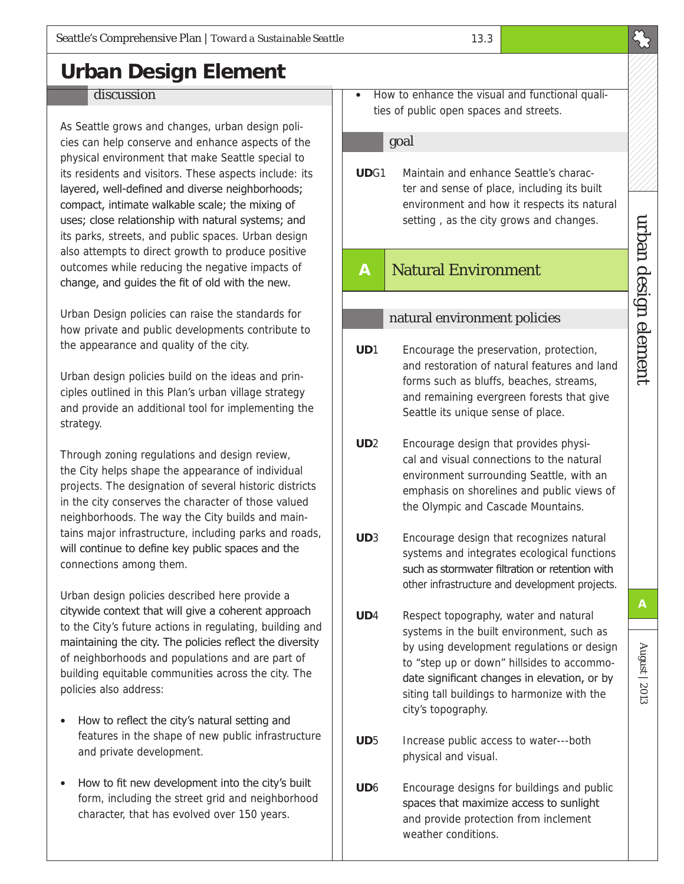# **Urban Design Element**

#### **discussion**

As Seattle grows and changes, urban design policies can help conserve and enhance aspects of the physical environment that make Seattle special to its residents and visitors. These aspects include: its layered, well-defined and diverse neighborhoods; compact, intimate walkable scale; the mixing of uses; close relationship with natural systems; and its parks, streets, and public spaces. Urban design also attempts to direct growth to produce positive outcomes while reducing the negative impacts of change, and guides the fit of old with the new.

Urban Design policies can raise the standards for how private and public developments contribute to the appearance and quality of the city.

Urban design policies build on the ideas and principles outlined in this Plan's urban village strategy and provide an additional tool for implementing the strategy.

Through zoning regulations and design review, the City helps shape the appearance of individual projects. The designation of several historic districts in the city conserves the character of those valued neighborhoods. The way the City builds and maintains major infrastructure, including parks and roads, will continue to define key public spaces and the connections among them.

Urban design policies described here provide a citywide context that will give a coherent approach to the City's future actions in regulating, building and maintaining the city. The policies reflect the diversity of neighborhoods and populations and are part of building equitable communities across the city. The policies also address:

- How to reflect the city's natural setting and features in the shape of new public infrastructure and private development.
- How to fit new development into the city's built form, including the street grid and neighborhood character, that has evolved over 150 years.

• How to enhance the visual and functional qualities of public open spaces and streets.

#### goal

**UD**G1 Maintain and enhance Seattle's character and sense of place, including its built environment and how it respects its natural setting , as the city grows and changes.

## **A** Natural Environment

#### natural environment policies

- **UD**1 Encourage the preservation, protection, and restoration of natural features and land forms such as bluffs, beaches, streams, and remaining evergreen forests that give Seattle its unique sense of place.
- **UD**2 Encourage design that provides physical and visual connections to the natural environment surrounding Seattle, with an emphasis on shorelines and public views of the Olympic and Cascade Mountains.
- **UD**3 Encourage design that recognizes natural systems and integrates ecological functions such as stormwater filtration or retention with other infrastructure and development projects.
- **UD**4 Respect topography, water and natural systems in the built environment, such as by using development regulations or design to "step up or down" hillsides to accommodate significant changes in elevation, or by siting tall buildings to harmonize with the city's topography.
- **UD**5 Increase public access to water---both physical and visual.
- **UD**6 Encourage designs for buildings and public spaces that maximize access to sunlight and provide protection from inclement weather conditions.

August | 2013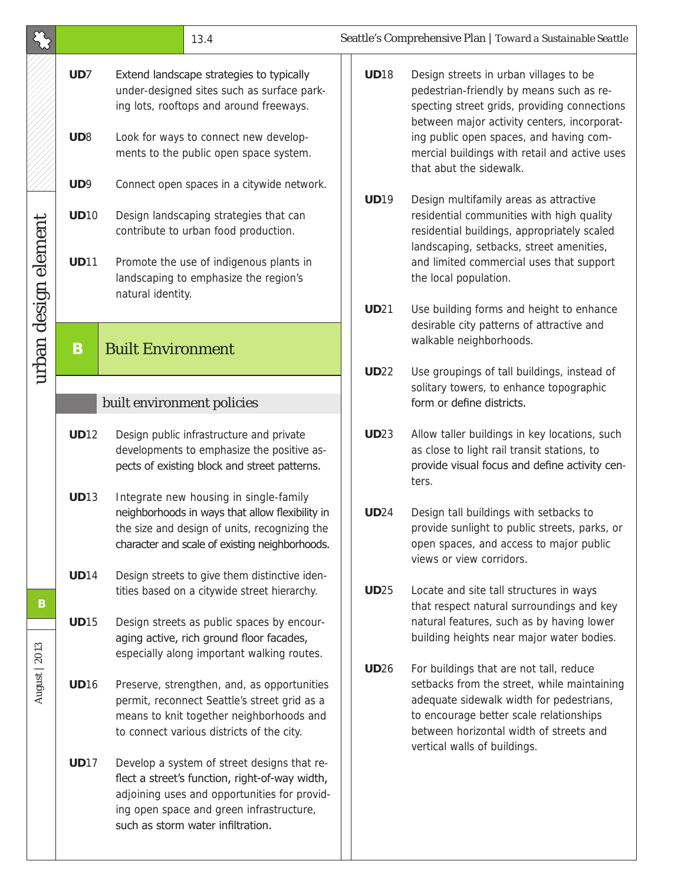|                           |                                   |                                                                                                                                                                                                                  | 13.4                                                                                                                                                                                                                           | Seattle's Comprehensive Plan   Toward a Sustainable Seattle |                                                                                                                                                                                                                                                                                                          |  |
|---------------------------|-----------------------------------|------------------------------------------------------------------------------------------------------------------------------------------------------------------------------------------------------------------|--------------------------------------------------------------------------------------------------------------------------------------------------------------------------------------------------------------------------------|-------------------------------------------------------------|----------------------------------------------------------------------------------------------------------------------------------------------------------------------------------------------------------------------------------------------------------------------------------------------------------|--|
| urban design element<br>B | UD7<br>UD <sub>8</sub>            |                                                                                                                                                                                                                  | Extend landscape strategies to typically<br>under-designed sites such as surface park-<br>ing lots, rooftops and around freeways.<br>Look for ways to connect new develop-<br>ments to the public open space system.           | <b>UD18</b>                                                 | Design streets in urban villages to be<br>pedestrian-friendly by means such as re-<br>specting street grids, providing connections<br>between major activity centers, incorporat-<br>ing public open spaces, and having com-<br>mercial buildings with retail and active uses<br>that abut the sidewalk. |  |
|                           | UD9<br><b>UD10</b><br><b>UD11</b> | Connect open spaces in a citywide network.<br>Design landscaping strategies that can<br>contribute to urban food production.<br>Promote the use of indigenous plants in<br>landscaping to emphasize the region's |                                                                                                                                                                                                                                | <b>UD19</b>                                                 | Design multifamily areas as attractive<br>residential communities with high quality<br>residential buildings, appropriately scaled<br>landscaping, setbacks, street amenities,<br>and limited commercial uses that support<br>the local population.                                                      |  |
|                           | B                                 | natural identity.<br><b>Built Environment</b>                                                                                                                                                                    |                                                                                                                                                                                                                                | <b>UD21</b>                                                 | Use building forms and height to enhance<br>desirable city patterns of attractive and<br>walkable neighborhoods.                                                                                                                                                                                         |  |
|                           |                                   | built environment policies                                                                                                                                                                                       |                                                                                                                                                                                                                                | <b>UD22</b>                                                 | Use groupings of tall buildings, instead of<br>solitary towers, to enhance topographic<br>form or define districts.                                                                                                                                                                                      |  |
|                           | <b>UD12</b>                       |                                                                                                                                                                                                                  | Design public infrastructure and private<br>developments to emphasize the positive as-<br>pects of existing block and street patterns.                                                                                         | <b>UD23</b>                                                 | Allow taller buildings in key locations, such<br>as close to light rail transit stations, to<br>provide visual focus and define activity cen-<br>ters.                                                                                                                                                   |  |
|                           | <b>UD13</b>                       |                                                                                                                                                                                                                  | Integrate new housing in single-family<br>neighborhoods in ways that allow flexibility in<br>the size and design of units, recognizing the<br>character and scale of existing neighborhoods.                                   | <b>UD24</b>                                                 | Design tall buildings with setbacks to<br>provide sunlight to public streets, parks, or<br>open spaces, and access to major public<br>views or view corridors.                                                                                                                                           |  |
|                           | <b>UD14</b>                       |                                                                                                                                                                                                                  | Design streets to give them distinctive iden-<br>tities based on a citywide street hierarchy.                                                                                                                                  | <b>UD25</b>                                                 | Locate and site tall structures in ways<br>that respect natural surroundings and key                                                                                                                                                                                                                     |  |
|                           | <b>UD15</b>                       |                                                                                                                                                                                                                  | Design streets as public spaces by encour-<br>aging active, rich ground floor facades,<br>especially along important walking routes.                                                                                           |                                                             | natural features, such as by having lower<br>building heights near major water bodies.                                                                                                                                                                                                                   |  |
| August   2013             | <b>UD16</b>                       |                                                                                                                                                                                                                  | Preserve, strengthen, and, as opportunities<br>permit, reconnect Seattle's street grid as a<br>means to knit together neighborhoods and<br>to connect various districts of the city.                                           | <b>UD26</b>                                                 | For buildings that are not tall, reduce<br>setbacks from the street, while maintaining<br>adequate sidewalk width for pedestrians,<br>to encourage better scale relationships<br>between horizontal width of streets and<br>vertical walls of buildings.                                                 |  |
|                           | <b>UD17</b>                       |                                                                                                                                                                                                                  | Develop a system of street designs that re-<br>flect a street's function, right-of-way width,<br>adjoining uses and opportunities for provid-<br>ing open space and green infrastructure,<br>such as storm water infiltration. |                                                             |                                                                                                                                                                                                                                                                                                          |  |